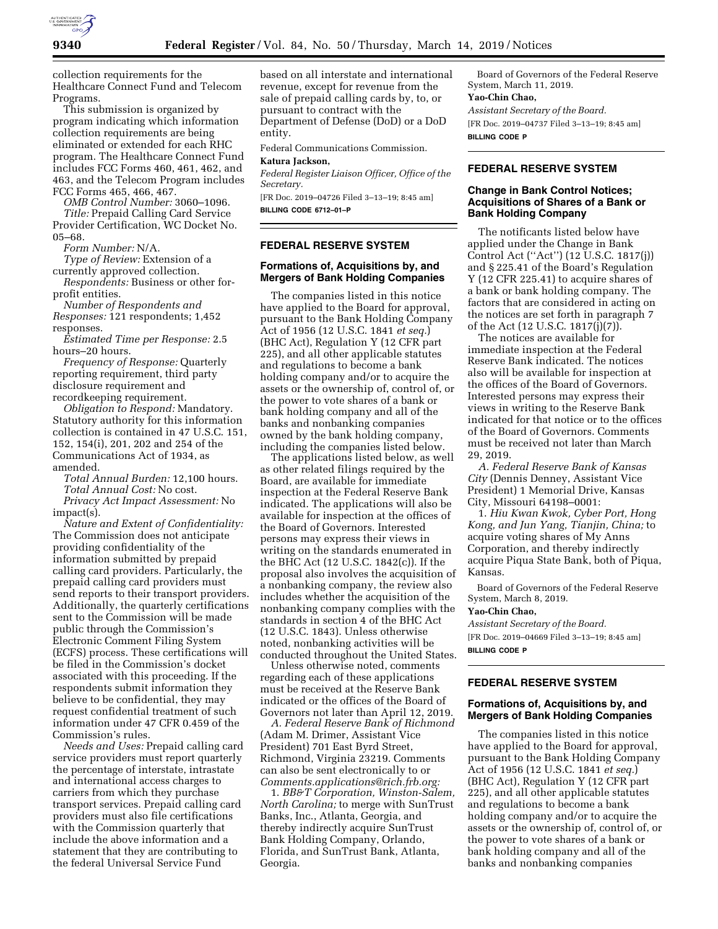

collection requirements for the Healthcare Connect Fund and Telecom Programs.

This submission is organized by program indicating which information collection requirements are being eliminated or extended for each RHC program. The Healthcare Connect Fund includes FCC Forms 460, 461, 462, and 463, and the Telecom Program includes FCC Forms 465, 466, 467.

*OMB Control Number:* 3060–1096.

*Title:* Prepaid Calling Card Service Provider Certification, WC Docket No. 05–68.

*Form Number:* N/A.

*Type of Review:* Extension of a currently approved collection.

*Respondents:* Business or other forprofit entities.

*Number of Respondents and Responses:* 121 respondents; 1,452

responses. *Estimated Time per Response:* 2.5

hours–20 hours. *Frequency of Response:* Quarterly

reporting requirement, third party disclosure requirement and recordkeeping requirement.

*Obligation to Respond:* Mandatory. Statutory authority for this information collection is contained in 47 U.S.C. 151, 152, 154(i), 201, 202 and 254 of the Communications Act of 1934, as amended.

*Total Annual Burden:* 12,100 hours. *Total Annual Cost:* No cost. *Privacy Act Impact Assessment:* No impact(s).

*Nature and Extent of Confidentiality:*  The Commission does not anticipate providing confidentiality of the information submitted by prepaid calling card providers. Particularly, the prepaid calling card providers must send reports to their transport providers. Additionally, the quarterly certifications sent to the Commission will be made public through the Commission's Electronic Comment Filing System (ECFS) process. These certifications will be filed in the Commission's docket associated with this proceeding. If the respondents submit information they believe to be confidential, they may request confidential treatment of such information under 47 CFR 0.459 of the Commission's rules.

*Needs and Uses:* Prepaid calling card service providers must report quarterly the percentage of interstate, intrastate and international access charges to carriers from which they purchase transport services. Prepaid calling card providers must also file certifications with the Commission quarterly that include the above information and a statement that they are contributing to the federal Universal Service Fund

based on all interstate and international revenue, except for revenue from the sale of prepaid calling cards by, to, or pursuant to contract with the Department of Defense (DoD) or a DoD entity.

Federal Communications Commission.

#### **Katura Jackson,**

*Federal Register Liaison Officer, Office of the Secretary.* 

[FR Doc. 2019–04726 Filed 3–13–19; 8:45 am] **BILLING CODE 6712–01–P** 

# **FEDERAL RESERVE SYSTEM**

### **Formations of, Acquisitions by, and Mergers of Bank Holding Companies**

The companies listed in this notice have applied to the Board for approval, pursuant to the Bank Holding Company Act of 1956 (12 U.S.C. 1841 *et seq.*) (BHC Act), Regulation Y (12 CFR part 225), and all other applicable statutes and regulations to become a bank holding company and/or to acquire the assets or the ownership of, control of, or the power to vote shares of a bank or bank holding company and all of the banks and nonbanking companies owned by the bank holding company, including the companies listed below.

The applications listed below, as well as other related filings required by the Board, are available for immediate inspection at the Federal Reserve Bank indicated. The applications will also be available for inspection at the offices of the Board of Governors. Interested persons may express their views in writing on the standards enumerated in the BHC Act (12 U.S.C. 1842(c)). If the proposal also involves the acquisition of a nonbanking company, the review also includes whether the acquisition of the nonbanking company complies with the standards in section 4 of the BHC Act (12 U.S.C. 1843). Unless otherwise noted, nonbanking activities will be conducted throughout the United States.

Unless otherwise noted, comments regarding each of these applications must be received at the Reserve Bank indicated or the offices of the Board of Governors not later than April 12, 2019.

*A. Federal Reserve Bank of Richmond*  (Adam M. Drimer, Assistant Vice President) 701 East Byrd Street, Richmond, Virginia 23219. Comments can also be sent electronically to or *[Comments.applications@rich.frb.org:](mailto:Comments.applications@rich.frb.org)* 

1. *BB&T Corporation, Winston-Salem, North Carolina;* to merge with SunTrust Banks, Inc., Atlanta, Georgia, and thereby indirectly acquire SunTrust Bank Holding Company, Orlando, Florida, and SunTrust Bank, Atlanta, Georgia.

Board of Governors of the Federal Reserve System, March 11, 2019.

### **Yao-Chin Chao,**

*Assistant Secretary of the Board.*  [FR Doc. 2019–04737 Filed 3–13–19; 8:45 am] **BILLING CODE P** 

### **FEDERAL RESERVE SYSTEM**

## **Change in Bank Control Notices; Acquisitions of Shares of a Bank or Bank Holding Company**

The notificants listed below have applied under the Change in Bank Control Act (''Act'') (12 U.S.C. 1817(j)) and § 225.41 of the Board's Regulation Y (12 CFR 225.41) to acquire shares of a bank or bank holding company. The factors that are considered in acting on the notices are set forth in paragraph 7 of the Act (12 U.S.C. 1817(j)(7)).

The notices are available for immediate inspection at the Federal Reserve Bank indicated. The notices also will be available for inspection at the offices of the Board of Governors. Interested persons may express their views in writing to the Reserve Bank indicated for that notice or to the offices of the Board of Governors. Comments must be received not later than March 29, 2019.

*A. Federal Reserve Bank of Kansas City* (Dennis Denney, Assistant Vice President) 1 Memorial Drive, Kansas City, Missouri 64198–0001:

1. *Hiu Kwan Kwok, Cyber Port, Hong Kong, and Jun Yang, Tianjin, China;* to acquire voting shares of My Anns Corporation, and thereby indirectly acquire Piqua State Bank, both of Piqua, Kansas.

Board of Governors of the Federal Reserve System, March 8, 2019.

## **Yao-Chin Chao,**

*Assistant Secretary of the Board.*  [FR Doc. 2019–04669 Filed 3–13–19; 8:45 am] **BILLING CODE P** 

## **FEDERAL RESERVE SYSTEM**

## **Formations of, Acquisitions by, and Mergers of Bank Holding Companies**

The companies listed in this notice have applied to the Board for approval, pursuant to the Bank Holding Company Act of 1956 (12 U.S.C. 1841 *et seq.*) (BHC Act), Regulation Y (12 CFR part 225), and all other applicable statutes and regulations to become a bank holding company and/or to acquire the assets or the ownership of, control of, or the power to vote shares of a bank or bank holding company and all of the banks and nonbanking companies